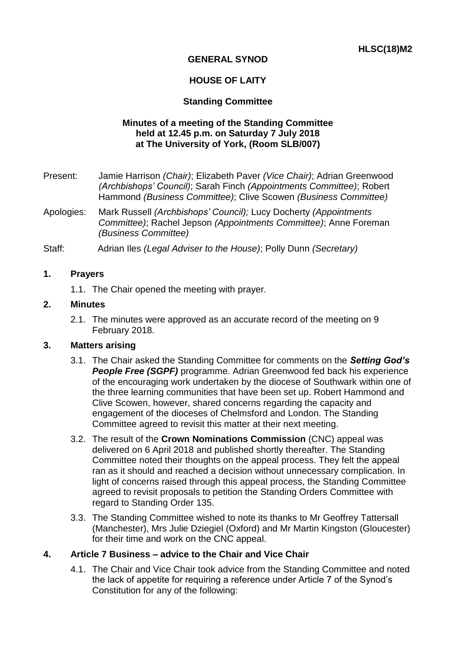# **GENERAL SYNOD**

## **HOUSE OF LAITY**

## **Standing Committee**

### **Minutes of a meeting of the Standing Committee held at 12.45 p.m. on Saturday 7 July 2018 at The University of York, (Room SLB/007)**

- Present: Jamie Harrison *(Chair)*; Elizabeth Paver *(Vice Chair)*; Adrian Greenwood *(Archbishops' Council)*; Sarah Finch *(Appointments Committee)*; Robert Hammond *(Business Committee)*; Clive Scowen *(Business Committee)*
- Apologies: Mark Russell *(Archbishops' Council);* Lucy Docherty *(Appointments Committee)*; Rachel Jepson *(Appointments Committee)*; Anne Foreman *(Business Committee)*
- Staff: Adrian Iles *(Legal Adviser to the House)*; Polly Dunn *(Secretary)*

### **1. Prayers**

1.1. The Chair opened the meeting with prayer.

#### **2. Minutes**

2.1. The minutes were approved as an accurate record of the meeting on 9 February 2018.

### **3. Matters arising**

- 3.1. The Chair asked the Standing Committee for comments on the *Setting God's People Free (SGPF)* programme. Adrian Greenwood fed back his experience of the encouraging work undertaken by the diocese of Southwark within one of the three learning communities that have been set up. Robert Hammond and Clive Scowen, however, shared concerns regarding the capacity and engagement of the dioceses of Chelmsford and London. The Standing Committee agreed to revisit this matter at their next meeting.
- 3.2. The result of the **Crown Nominations Commission** (CNC) appeal was delivered on 6 April 2018 and published shortly thereafter. The Standing Committee noted their thoughts on the appeal process. They felt the appeal ran as it should and reached a decision without unnecessary complication. In light of concerns raised through this appeal process, the Standing Committee agreed to revisit proposals to petition the Standing Orders Committee with regard to Standing Order 135.
- 3.3. The Standing Committee wished to note its thanks to Mr Geoffrey Tattersall (Manchester), Mrs Julie Dziegiel (Oxford) and Mr Martin Kingston (Gloucester) for their time and work on the CNC appeal.

### **4. Article 7 Business – advice to the Chair and Vice Chair**

4.1. The Chair and Vice Chair took advice from the Standing Committee and noted the lack of appetite for requiring a reference under Article 7 of the Synod's Constitution for any of the following: